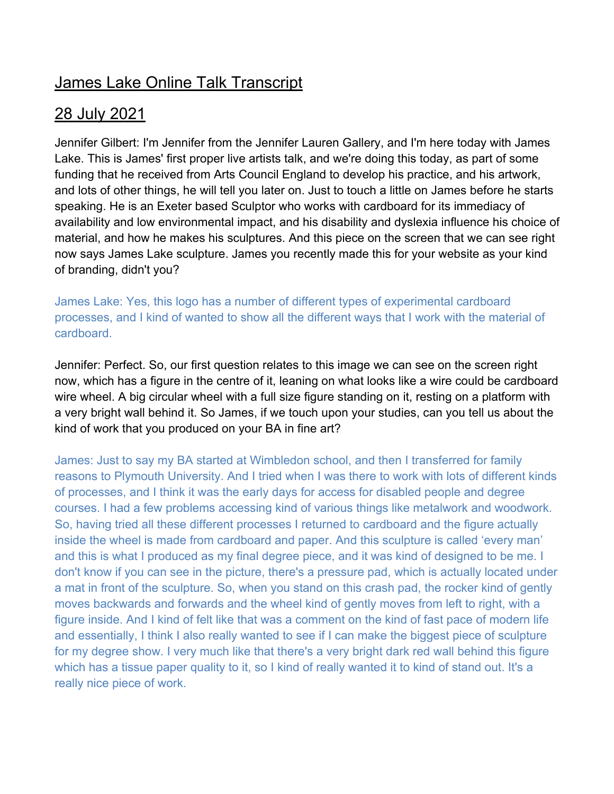# James Lake Online Talk Transcript

## 28 July 2021

Jennifer Gilbert: I'm Jennifer from the Jennifer Lauren Gallery, and I'm here today with James Lake. This is James' first proper live artists talk, and we're doing this today, as part of some funding that he received from Arts Council England to develop his practice, and his artwork, and lots of other things, he will tell you later on. Just to touch a little on James before he starts speaking. He is an Exeter based Sculptor who works with cardboard for its immediacy of availability and low environmental impact, and his disability and dyslexia influence his choice of material, and how he makes his sculptures. And this piece on the screen that we can see right now says James Lake sculpture. James you recently made this for your website as your kind of branding, didn't you?

James Lake: Yes, this logo has a number of different types of experimental cardboard processes, and I kind of wanted to show all the different ways that I work with the material of cardboard.

Jennifer: Perfect. So, our first question relates to this image we can see on the screen right now, which has a figure in the centre of it, leaning on what looks like a wire could be cardboard wire wheel. A big circular wheel with a full size figure standing on it, resting on a platform with a very bright wall behind it. So James, if we touch upon your studies, can you tell us about the kind of work that you produced on your BA in fine art?

James: Just to say my BA started at Wimbledon school, and then I transferred for family reasons to Plymouth University. And I tried when I was there to work with lots of different kinds of processes, and I think it was the early days for access for disabled people and degree courses. I had a few problems accessing kind of various things like metalwork and woodwork. So, having tried all these different processes I returned to cardboard and the figure actually inside the wheel is made from cardboard and paper. And this sculpture is called 'every man' and this is what I produced as my final degree piece, and it was kind of designed to be me. I don't know if you can see in the picture, there's a pressure pad, which is actually located under a mat in front of the sculpture. So, when you stand on this crash pad, the rocker kind of gently moves backwards and forwards and the wheel kind of gently moves from left to right, with a figure inside. And I kind of felt like that was a comment on the kind of fast pace of modern life and essentially, I think I also really wanted to see if I can make the biggest piece of sculpture for my degree show. I very much like that there's a very bright dark red wall behind this figure which has a tissue paper quality to it, so I kind of really wanted it to kind of stand out. It's a really nice piece of work.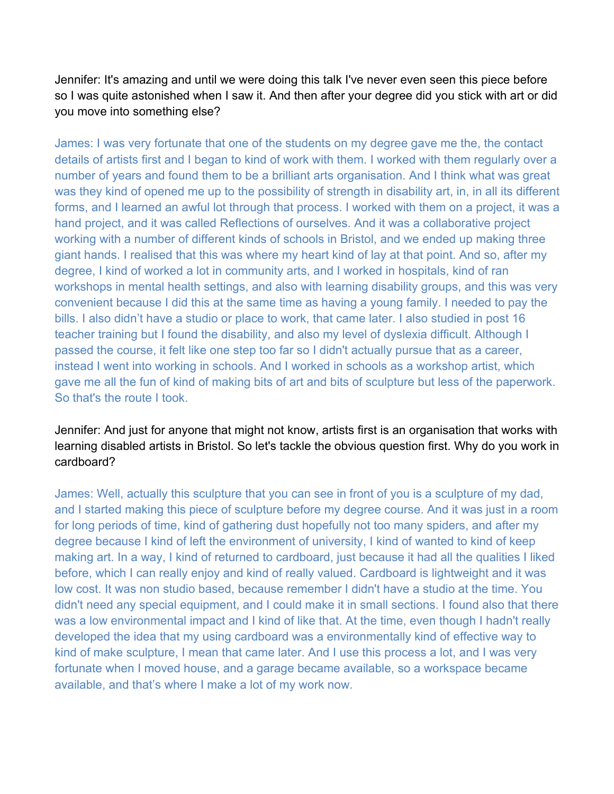Jennifer: It's amazing and until we were doing this talk I've never even seen this piece before so I was quite astonished when I saw it. And then after your degree did you stick with art or did you move into something else?

James: I was very fortunate that one of the students on my degree gave me the, the contact details of artists first and I began to kind of work with them. I worked with them regularly over a number of years and found them to be a brilliant arts organisation. And I think what was great was they kind of opened me up to the possibility of strength in disability art, in, in all its different forms, and I learned an awful lot through that process. I worked with them on a project, it was a hand project, and it was called Reflections of ourselves. And it was a collaborative project working with a number of different kinds of schools in Bristol, and we ended up making three giant hands. I realised that this was where my heart kind of lay at that point. And so, after my degree, I kind of worked a lot in community arts, and I worked in hospitals, kind of ran workshops in mental health settings, and also with learning disability groups, and this was very convenient because I did this at the same time as having a young family. I needed to pay the bills. I also didn't have a studio or place to work, that came later. I also studied in post 16 teacher training but I found the disability, and also my level of dyslexia difficult. Although I passed the course, it felt like one step too far so I didn't actually pursue that as a career, instead I went into working in schools. And I worked in schools as a workshop artist, which gave me all the fun of kind of making bits of art and bits of sculpture but less of the paperwork. So that's the route I took.

Jennifer: And just for anyone that might not know, artists first is an organisation that works with learning disabled artists in Bristol. So let's tackle the obvious question first. Why do you work in cardboard?

James: Well, actually this sculpture that you can see in front of you is a sculpture of my dad, and I started making this piece of sculpture before my degree course. And it was just in a room for long periods of time, kind of gathering dust hopefully not too many spiders, and after my degree because I kind of left the environment of university, I kind of wanted to kind of keep making art. In a way, I kind of returned to cardboard, just because it had all the qualities I liked before, which I can really enjoy and kind of really valued. Cardboard is lightweight and it was low cost. It was non studio based, because remember I didn't have a studio at the time. You didn't need any special equipment, and I could make it in small sections. I found also that there was a low environmental impact and I kind of like that. At the time, even though I hadn't really developed the idea that my using cardboard was a environmentally kind of effective way to kind of make sculpture, I mean that came later. And I use this process a lot, and I was very fortunate when I moved house, and a garage became available, so a workspace became available, and that's where I make a lot of my work now.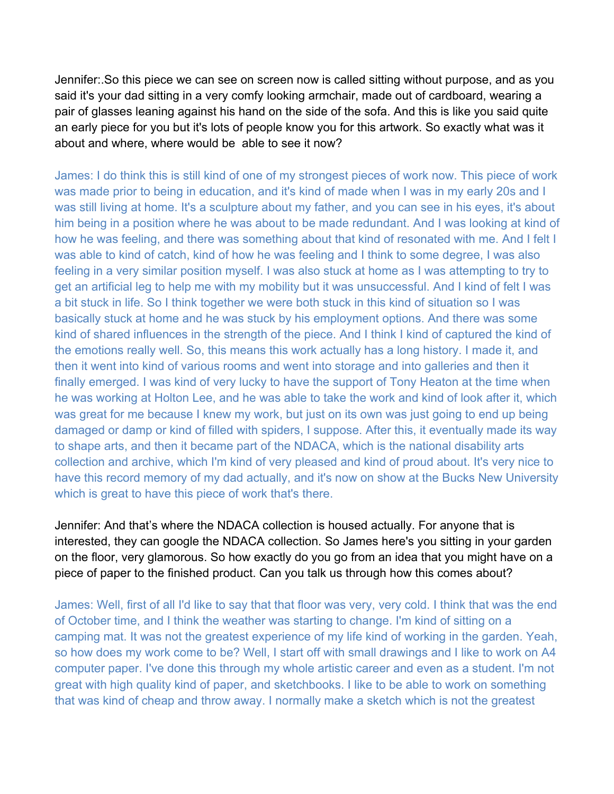Jennifer:.So this piece we can see on screen now is called sitting without purpose, and as you said it's your dad sitting in a very comfy looking armchair, made out of cardboard, wearing a pair of glasses leaning against his hand on the side of the sofa. And this is like you said quite an early piece for you but it's lots of people know you for this artwork. So exactly what was it about and where, where would be able to see it now?

James: I do think this is still kind of one of my strongest pieces of work now. This piece of work was made prior to being in education, and it's kind of made when I was in my early 20s and I was still living at home. It's a sculpture about my father, and you can see in his eyes, it's about him being in a position where he was about to be made redundant. And I was looking at kind of how he was feeling, and there was something about that kind of resonated with me. And I felt I was able to kind of catch, kind of how he was feeling and I think to some degree, I was also feeling in a very similar position myself. I was also stuck at home as I was attempting to try to get an artificial leg to help me with my mobility but it was unsuccessful. And I kind of felt I was a bit stuck in life. So I think together we were both stuck in this kind of situation so I was basically stuck at home and he was stuck by his employment options. And there was some kind of shared influences in the strength of the piece. And I think I kind of captured the kind of the emotions really well. So, this means this work actually has a long history. I made it, and then it went into kind of various rooms and went into storage and into galleries and then it finally emerged. I was kind of very lucky to have the support of Tony Heaton at the time when he was working at Holton Lee, and he was able to take the work and kind of look after it, which was great for me because I knew my work, but just on its own was just going to end up being damaged or damp or kind of filled with spiders, I suppose. After this, it eventually made its way to shape arts, and then it became part of the NDACA, which is the national disability arts collection and archive, which I'm kind of very pleased and kind of proud about. It's very nice to have this record memory of my dad actually, and it's now on show at the Bucks New University which is great to have this piece of work that's there.

Jennifer: And that's where the NDACA collection is housed actually. For anyone that is interested, they can google the NDACA collection. So James here's you sitting in your garden on the floor, very glamorous. So how exactly do you go from an idea that you might have on a piece of paper to the finished product. Can you talk us through how this comes about?

James: Well, first of all I'd like to say that that floor was very, very cold. I think that was the end of October time, and I think the weather was starting to change. I'm kind of sitting on a camping mat. It was not the greatest experience of my life kind of working in the garden. Yeah, so how does my work come to be? Well, I start off with small drawings and I like to work on A4 computer paper. I've done this through my whole artistic career and even as a student. I'm not great with high quality kind of paper, and sketchbooks. I like to be able to work on something that was kind of cheap and throw away. I normally make a sketch which is not the greatest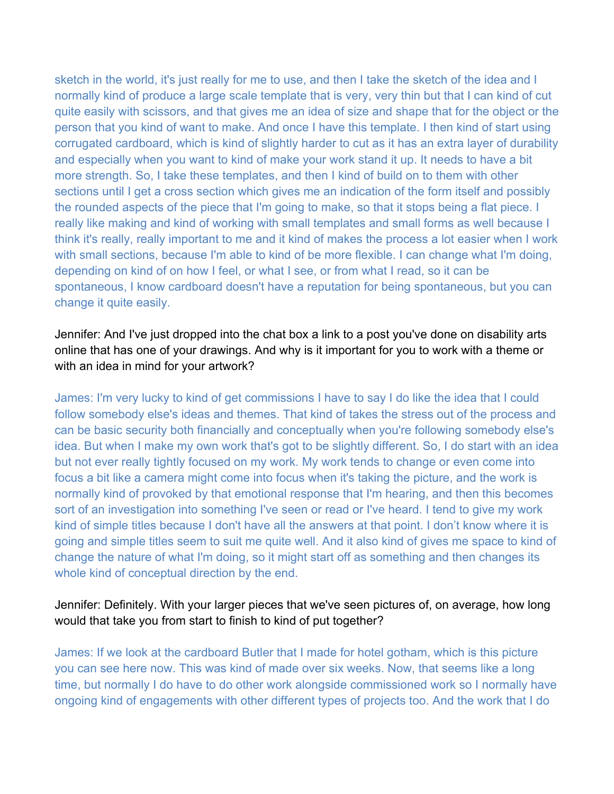sketch in the world, it's just really for me to use, and then I take the sketch of the idea and I normally kind of produce a large scale template that is very, very thin but that I can kind of cut quite easily with scissors, and that gives me an idea of size and shape that for the object or the person that you kind of want to make. And once I have this template. I then kind of start using corrugated cardboard, which is kind of slightly harder to cut as it has an extra layer of durability and especially when you want to kind of make your work stand it up. It needs to have a bit more strength. So, I take these templates, and then I kind of build on to them with other sections until I get a cross section which gives me an indication of the form itself and possibly the rounded aspects of the piece that I'm going to make, so that it stops being a flat piece. I really like making and kind of working with small templates and small forms as well because I think it's really, really important to me and it kind of makes the process a lot easier when I work with small sections, because I'm able to kind of be more flexible. I can change what I'm doing, depending on kind of on how I feel, or what I see, or from what I read, so it can be spontaneous, I know cardboard doesn't have a reputation for being spontaneous, but you can change it quite easily.

Jennifer: And I've just dropped into the chat box a link to a post you've done on disability arts online that has one of your drawings. And why is it important for you to work with a theme or with an idea in mind for your artwork?

James: I'm very lucky to kind of get commissions I have to say I do like the idea that I could follow somebody else's ideas and themes. That kind of takes the stress out of the process and can be basic security both financially and conceptually when you're following somebody else's idea. But when I make my own work that's got to be slightly different. So, I do start with an idea but not ever really tightly focused on my work. My work tends to change or even come into focus a bit like a camera might come into focus when it's taking the picture, and the work is normally kind of provoked by that emotional response that I'm hearing, and then this becomes sort of an investigation into something I've seen or read or I've heard. I tend to give my work kind of simple titles because I don't have all the answers at that point. I don't know where it is going and simple titles seem to suit me quite well. And it also kind of gives me space to kind of change the nature of what I'm doing, so it might start off as something and then changes its whole kind of conceptual direction by the end.

## Jennifer: Definitely. With your larger pieces that we've seen pictures of, on average, how long would that take you from start to finish to kind of put together?

James: If we look at the cardboard Butler that I made for hotel gotham, which is this picture you can see here now. This was kind of made over six weeks. Now, that seems like a long time, but normally I do have to do other work alongside commissioned work so I normally have ongoing kind of engagements with other different types of projects too. And the work that I do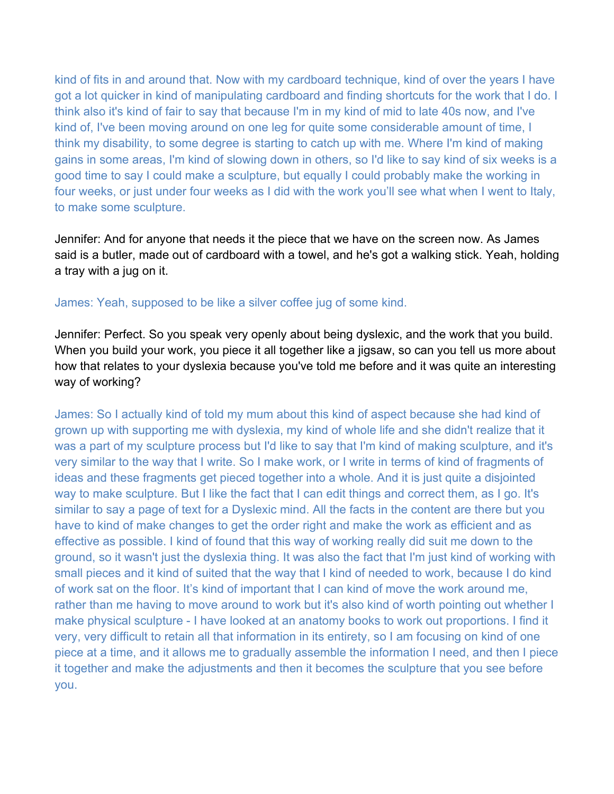kind of fits in and around that. Now with my cardboard technique, kind of over the years I have got a lot quicker in kind of manipulating cardboard and finding shortcuts for the work that I do. I think also it's kind of fair to say that because I'm in my kind of mid to late 40s now, and I've kind of, I've been moving around on one leg for quite some considerable amount of time, I think my disability, to some degree is starting to catch up with me. Where I'm kind of making gains in some areas, I'm kind of slowing down in others, so I'd like to say kind of six weeks is a good time to say I could make a sculpture, but equally I could probably make the working in four weeks, or just under four weeks as I did with the work you'll see what when I went to Italy, to make some sculpture.

Jennifer: And for anyone that needs it the piece that we have on the screen now. As James said is a butler, made out of cardboard with a towel, and he's got a walking stick. Yeah, holding a tray with a jug on it.

#### James: Yeah, supposed to be like a silver coffee jug of some kind.

Jennifer: Perfect. So you speak very openly about being dyslexic, and the work that you build. When you build your work, you piece it all together like a jigsaw, so can you tell us more about how that relates to your dyslexia because you've told me before and it was quite an interesting way of working?

James: So I actually kind of told my mum about this kind of aspect because she had kind of grown up with supporting me with dyslexia, my kind of whole life and she didn't realize that it was a part of my sculpture process but I'd like to say that I'm kind of making sculpture, and it's very similar to the way that I write. So I make work, or I write in terms of kind of fragments of ideas and these fragments get pieced together into a whole. And it is just quite a disjointed way to make sculpture. But I like the fact that I can edit things and correct them, as I go. It's similar to say a page of text for a Dyslexic mind. All the facts in the content are there but you have to kind of make changes to get the order right and make the work as efficient and as effective as possible. I kind of found that this way of working really did suit me down to the ground, so it wasn't just the dyslexia thing. It was also the fact that I'm just kind of working with small pieces and it kind of suited that the way that I kind of needed to work, because I do kind of work sat on the floor. It's kind of important that I can kind of move the work around me, rather than me having to move around to work but it's also kind of worth pointing out whether I make physical sculpture - I have looked at an anatomy books to work out proportions. I find it very, very difficult to retain all that information in its entirety, so I am focusing on kind of one piece at a time, and it allows me to gradually assemble the information I need, and then I piece it together and make the adjustments and then it becomes the sculpture that you see before you.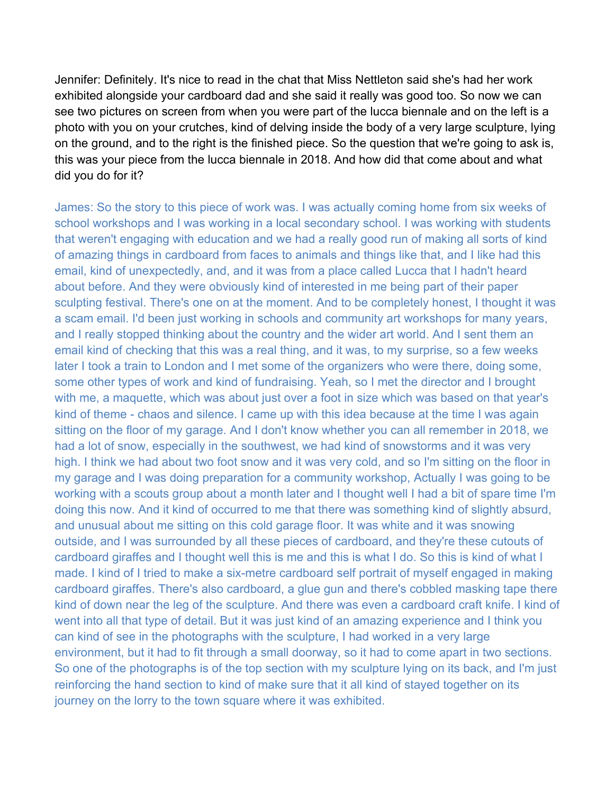Jennifer: Definitely. It's nice to read in the chat that Miss Nettleton said she's had her work exhibited alongside your cardboard dad and she said it really was good too. So now we can see two pictures on screen from when you were part of the lucca biennale and on the left is a photo with you on your crutches, kind of delving inside the body of a very large sculpture, lying on the ground, and to the right is the finished piece. So the question that we're going to ask is, this was your piece from the lucca biennale in 2018. And how did that come about and what did you do for it?

James: So the story to this piece of work was. I was actually coming home from six weeks of school workshops and I was working in a local secondary school. I was working with students that weren't engaging with education and we had a really good run of making all sorts of kind of amazing things in cardboard from faces to animals and things like that, and I like had this email, kind of unexpectedly, and, and it was from a place called Lucca that I hadn't heard about before. And they were obviously kind of interested in me being part of their paper sculpting festival. There's one on at the moment. And to be completely honest, I thought it was a scam email. I'd been just working in schools and community art workshops for many years, and I really stopped thinking about the country and the wider art world. And I sent them an email kind of checking that this was a real thing, and it was, to my surprise, so a few weeks later I took a train to London and I met some of the organizers who were there, doing some, some other types of work and kind of fundraising. Yeah, so I met the director and I brought with me, a maquette, which was about just over a foot in size which was based on that year's kind of theme - chaos and silence. I came up with this idea because at the time I was again sitting on the floor of my garage. And I don't know whether you can all remember in 2018, we had a lot of snow, especially in the southwest, we had kind of snowstorms and it was very high. I think we had about two foot snow and it was very cold, and so I'm sitting on the floor in my garage and I was doing preparation for a community workshop, Actually I was going to be working with a scouts group about a month later and I thought well I had a bit of spare time I'm doing this now. And it kind of occurred to me that there was something kind of slightly absurd, and unusual about me sitting on this cold garage floor. It was white and it was snowing outside, and I was surrounded by all these pieces of cardboard, and they're these cutouts of cardboard giraffes and I thought well this is me and this is what I do. So this is kind of what I made. I kind of I tried to make a six-metre cardboard self portrait of myself engaged in making cardboard giraffes. There's also cardboard, a glue gun and there's cobbled masking tape there kind of down near the leg of the sculpture. And there was even a cardboard craft knife. I kind of went into all that type of detail. But it was just kind of an amazing experience and I think you can kind of see in the photographs with the sculpture, I had worked in a very large environment, but it had to fit through a small doorway, so it had to come apart in two sections. So one of the photographs is of the top section with my sculpture lying on its back, and I'm just reinforcing the hand section to kind of make sure that it all kind of stayed together on its journey on the lorry to the town square where it was exhibited.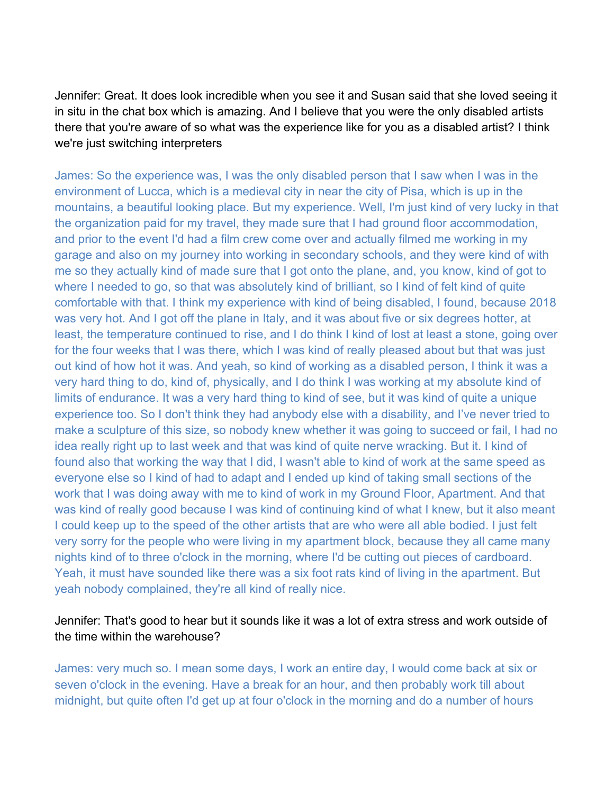Jennifer: Great. It does look incredible when you see it and Susan said that she loved seeing it in situ in the chat box which is amazing. And I believe that you were the only disabled artists there that you're aware of so what was the experience like for you as a disabled artist? I think we're just switching interpreters

James: So the experience was, I was the only disabled person that I saw when I was in the environment of Lucca, which is a medieval city in near the city of Pisa, which is up in the mountains, a beautiful looking place. But my experience. Well, I'm just kind of very lucky in that the organization paid for my travel, they made sure that I had ground floor accommodation, and prior to the event I'd had a film crew come over and actually filmed me working in my garage and also on my journey into working in secondary schools, and they were kind of with me so they actually kind of made sure that I got onto the plane, and, you know, kind of got to where I needed to go, so that was absolutely kind of brilliant, so I kind of felt kind of quite comfortable with that. I think my experience with kind of being disabled, I found, because 2018 was very hot. And I got off the plane in Italy, and it was about five or six degrees hotter, at least, the temperature continued to rise, and I do think I kind of lost at least a stone, going over for the four weeks that I was there, which I was kind of really pleased about but that was just out kind of how hot it was. And yeah, so kind of working as a disabled person, I think it was a very hard thing to do, kind of, physically, and I do think I was working at my absolute kind of limits of endurance. It was a very hard thing to kind of see, but it was kind of quite a unique experience too. So I don't think they had anybody else with a disability, and I've never tried to make a sculpture of this size, so nobody knew whether it was going to succeed or fail, I had no idea really right up to last week and that was kind of quite nerve wracking. But it. I kind of found also that working the way that I did, I wasn't able to kind of work at the same speed as everyone else so I kind of had to adapt and I ended up kind of taking small sections of the work that I was doing away with me to kind of work in my Ground Floor, Apartment. And that was kind of really good because I was kind of continuing kind of what I knew, but it also meant I could keep up to the speed of the other artists that are who were all able bodied. I just felt very sorry for the people who were living in my apartment block, because they all came many nights kind of to three o'clock in the morning, where I'd be cutting out pieces of cardboard. Yeah, it must have sounded like there was a six foot rats kind of living in the apartment. But yeah nobody complained, they're all kind of really nice.

## Jennifer: That's good to hear but it sounds like it was a lot of extra stress and work outside of the time within the warehouse?

James: very much so. I mean some days, I work an entire day, I would come back at six or seven o'clock in the evening. Have a break for an hour, and then probably work till about midnight, but quite often I'd get up at four o'clock in the morning and do a number of hours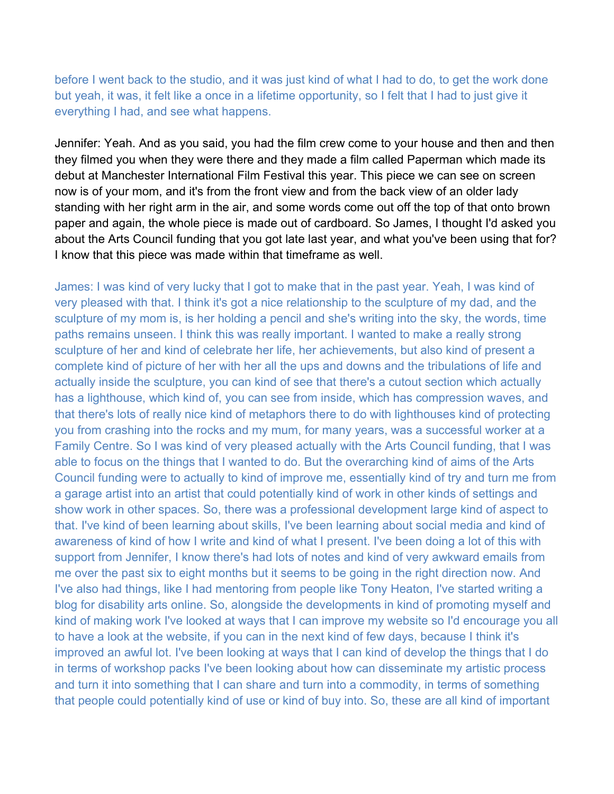before I went back to the studio, and it was just kind of what I had to do, to get the work done but yeah, it was, it felt like a once in a lifetime opportunity, so I felt that I had to just give it everything I had, and see what happens.

Jennifer: Yeah. And as you said, you had the film crew come to your house and then and then they filmed you when they were there and they made a film called Paperman which made its debut at Manchester International Film Festival this year. This piece we can see on screen now is of your mom, and it's from the front view and from the back view of an older lady standing with her right arm in the air, and some words come out off the top of that onto brown paper and again, the whole piece is made out of cardboard. So James, I thought I'd asked you about the Arts Council funding that you got late last year, and what you've been using that for? I know that this piece was made within that timeframe as well.

James: I was kind of very lucky that I got to make that in the past year. Yeah, I was kind of very pleased with that. I think it's got a nice relationship to the sculpture of my dad, and the sculpture of my mom is, is her holding a pencil and she's writing into the sky, the words, time paths remains unseen. I think this was really important. I wanted to make a really strong sculpture of her and kind of celebrate her life, her achievements, but also kind of present a complete kind of picture of her with her all the ups and downs and the tribulations of life and actually inside the sculpture, you can kind of see that there's a cutout section which actually has a lighthouse, which kind of, you can see from inside, which has compression waves, and that there's lots of really nice kind of metaphors there to do with lighthouses kind of protecting you from crashing into the rocks and my mum, for many years, was a successful worker at a Family Centre. So I was kind of very pleased actually with the Arts Council funding, that I was able to focus on the things that I wanted to do. But the overarching kind of aims of the Arts Council funding were to actually to kind of improve me, essentially kind of try and turn me from a garage artist into an artist that could potentially kind of work in other kinds of settings and show work in other spaces. So, there was a professional development large kind of aspect to that. I've kind of been learning about skills, I've been learning about social media and kind of awareness of kind of how I write and kind of what I present. I've been doing a lot of this with support from Jennifer, I know there's had lots of notes and kind of very awkward emails from me over the past six to eight months but it seems to be going in the right direction now. And I've also had things, like I had mentoring from people like Tony Heaton, I've started writing a blog for disability arts online. So, alongside the developments in kind of promoting myself and kind of making work I've looked at ways that I can improve my website so I'd encourage you all to have a look at the website, if you can in the next kind of few days, because I think it's improved an awful lot. I've been looking at ways that I can kind of develop the things that I do in terms of workshop packs I've been looking about how can disseminate my artistic process and turn it into something that I can share and turn into a commodity, in terms of something that people could potentially kind of use or kind of buy into. So, these are all kind of important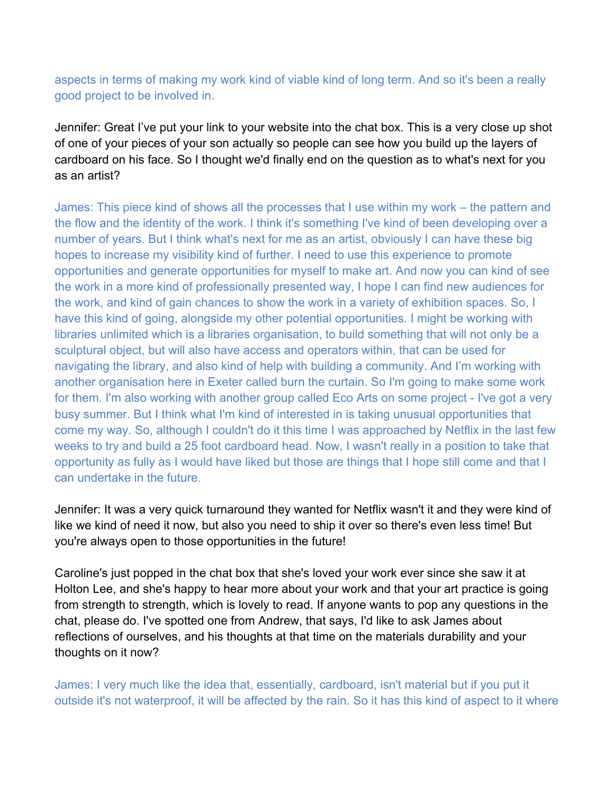aspects in terms of making my work kind of viable kind of long term. And so it's been a really good project to be involved in.

Jennifer: Great I've put your link to your website into the chat box. This is a very close up shot of one of your pieces of your son actually so people can see how you build up the layers of cardboard on his face. So I thought we'd finally end on the question as to what's next for you as an artist?

James: This piece kind of shows all the processes that I use within my work – the pattern and the flow and the identity of the work. I think it's something I've kind of been developing over a number of years. But I think what's next for me as an artist, obviously I can have these big hopes to increase my visibility kind of further. I need to use this experience to promote opportunities and generate opportunities for myself to make art. And now you can kind of see the work in a more kind of professionally presented way, I hope I can find new audiences for the work, and kind of gain chances to show the work in a variety of exhibition spaces. So, I have this kind of going, alongside my other potential opportunities. I might be working with libraries unlimited which is a libraries organisation, to build something that will not only be a sculptural object, but will also have access and operators within, that can be used for navigating the library, and also kind of help with building a community. And I'm working with another organisation here in Exeter called burn the curtain. So I'm going to make some work for them. I'm also working with another group called Eco Arts on some project - I've got a very busy summer. But I think what I'm kind of interested in is taking unusual opportunities that come my way. So, although I couldn't do it this time I was approached by Netflix in the last few weeks to try and build a 25 foot cardboard head. Now, I wasn't really in a position to take that opportunity as fully as I would have liked but those are things that I hope still come and that I can undertake in the future.

Jennifer: It was a very quick turnaround they wanted for Netflix wasn't it and they were kind of like we kind of need it now, but also you need to ship it over so there's even less time! But you're always open to those opportunities in the future!

Caroline's just popped in the chat box that she's loved your work ever since she saw it at Holton Lee, and she's happy to hear more about your work and that your art practice is going from strength to strength, which is lovely to read. If anyone wants to pop any questions in the chat, please do. I've spotted one from Andrew, that says, I'd like to ask James about reflections of ourselves, and his thoughts at that time on the materials durability and your thoughts on it now?

James: I very much like the idea that, essentially, cardboard, isn't material but if you put it outside it's not waterproof, it will be affected by the rain. So it has this kind of aspect to it where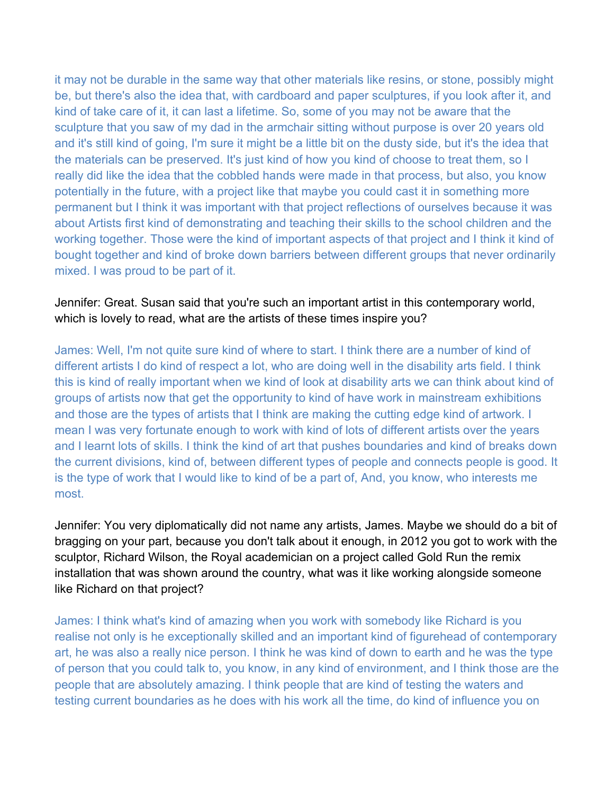it may not be durable in the same way that other materials like resins, or stone, possibly might be, but there's also the idea that, with cardboard and paper sculptures, if you look after it, and kind of take care of it, it can last a lifetime. So, some of you may not be aware that the sculpture that you saw of my dad in the armchair sitting without purpose is over 20 years old and it's still kind of going, I'm sure it might be a little bit on the dusty side, but it's the idea that the materials can be preserved. It's just kind of how you kind of choose to treat them, so I really did like the idea that the cobbled hands were made in that process, but also, you know potentially in the future, with a project like that maybe you could cast it in something more permanent but I think it was important with that project reflections of ourselves because it was about Artists first kind of demonstrating and teaching their skills to the school children and the working together. Those were the kind of important aspects of that project and I think it kind of bought together and kind of broke down barriers between different groups that never ordinarily mixed. I was proud to be part of it.

#### Jennifer: Great. Susan said that you're such an important artist in this contemporary world, which is lovely to read, what are the artists of these times inspire you?

James: Well, I'm not quite sure kind of where to start. I think there are a number of kind of different artists I do kind of respect a lot, who are doing well in the disability arts field. I think this is kind of really important when we kind of look at disability arts we can think about kind of groups of artists now that get the opportunity to kind of have work in mainstream exhibitions and those are the types of artists that I think are making the cutting edge kind of artwork. I mean I was very fortunate enough to work with kind of lots of different artists over the years and I learnt lots of skills. I think the kind of art that pushes boundaries and kind of breaks down the current divisions, kind of, between different types of people and connects people is good. It is the type of work that I would like to kind of be a part of, And, you know, who interests me most.

Jennifer: You very diplomatically did not name any artists, James. Maybe we should do a bit of bragging on your part, because you don't talk about it enough, in 2012 you got to work with the sculptor, Richard Wilson, the Royal academician on a project called Gold Run the remix installation that was shown around the country, what was it like working alongside someone like Richard on that project?

James: I think what's kind of amazing when you work with somebody like Richard is you realise not only is he exceptionally skilled and an important kind of figurehead of contemporary art, he was also a really nice person. I think he was kind of down to earth and he was the type of person that you could talk to, you know, in any kind of environment, and I think those are the people that are absolutely amazing. I think people that are kind of testing the waters and testing current boundaries as he does with his work all the time, do kind of influence you on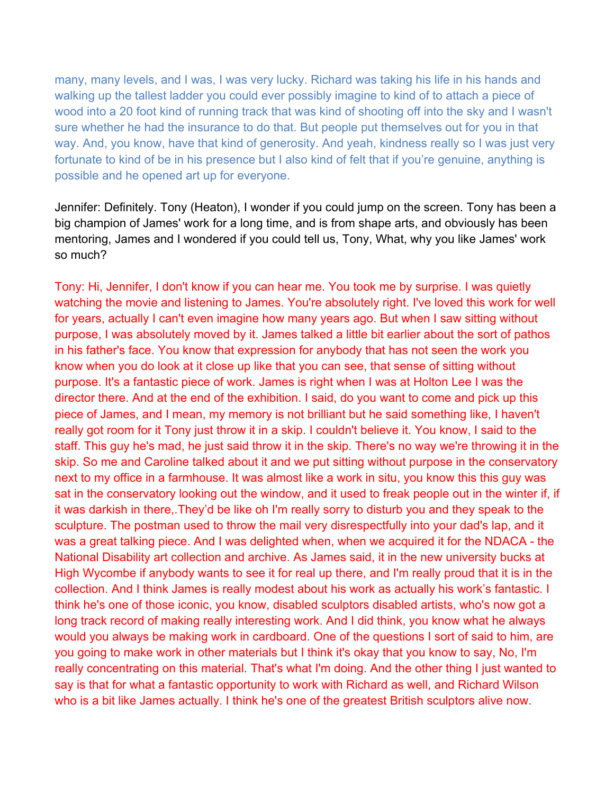many, many levels, and I was, I was very lucky. Richard was taking his life in his hands and walking up the tallest ladder you could ever possibly imagine to kind of to attach a piece of wood into a 20 foot kind of running track that was kind of shooting off into the sky and I wasn't sure whether he had the insurance to do that. But people put themselves out for you in that way. And, you know, have that kind of generosity. And yeah, kindness really so I was just very fortunate to kind of be in his presence but I also kind of felt that if you're genuine, anything is possible and he opened art up for everyone.

Jennifer: Definitely. Tony (Heaton), I wonder if you could jump on the screen. Tony has been a big champion of James' work for a long time, and is from shape arts, and obviously has been mentoring, James and I wondered if you could tell us, Tony, What, why you like James' work so much?

Tony: Hi, Jennifer, I don't know if you can hear me. You took me by surprise. I was quietly watching the movie and listening to James. You're absolutely right. I've loved this work for well for years, actually I can't even imagine how many years ago. But when I saw sitting without purpose, I was absolutely moved by it. James talked a little bit earlier about the sort of pathos in his father's face. You know that expression for anybody that has not seen the work you know when you do look at it close up like that you can see, that sense of sitting without purpose. It's a fantastic piece of work. James is right when I was at Holton Lee I was the director there. And at the end of the exhibition. I said, do you want to come and pick up this piece of James, and I mean, my memory is not brilliant but he said something like, I haven't really got room for it Tony just throw it in a skip. I couldn't believe it. You know, I said to the staff. This guy he's mad, he just said throw it in the skip. There's no way we're throwing it in the skip. So me and Caroline talked about it and we put sitting without purpose in the conservatory next to my office in a farmhouse. It was almost like a work in situ, you know this this guy was sat in the conservatory looking out the window, and it used to freak people out in the winter if, if it was darkish in there,.They'd be like oh I'm really sorry to disturb you and they speak to the sculpture. The postman used to throw the mail very disrespectfully into your dad's lap, and it was a great talking piece. And I was delighted when, when we acquired it for the NDACA - the National Disability art collection and archive. As James said, it in the new university bucks at High Wycombe if anybody wants to see it for real up there, and I'm really proud that it is in the collection. And I think James is really modest about his work as actually his work's fantastic. I think he's one of those iconic, you know, disabled sculptors disabled artists, who's now got a long track record of making really interesting work. And I did think, you know what he always would you always be making work in cardboard. One of the questions I sort of said to him, are you going to make work in other materials but I think it's okay that you know to say, No, I'm really concentrating on this material. That's what I'm doing. And the other thing I just wanted to say is that for what a fantastic opportunity to work with Richard as well, and Richard Wilson who is a bit like James actually. I think he's one of the greatest British sculptors alive now.